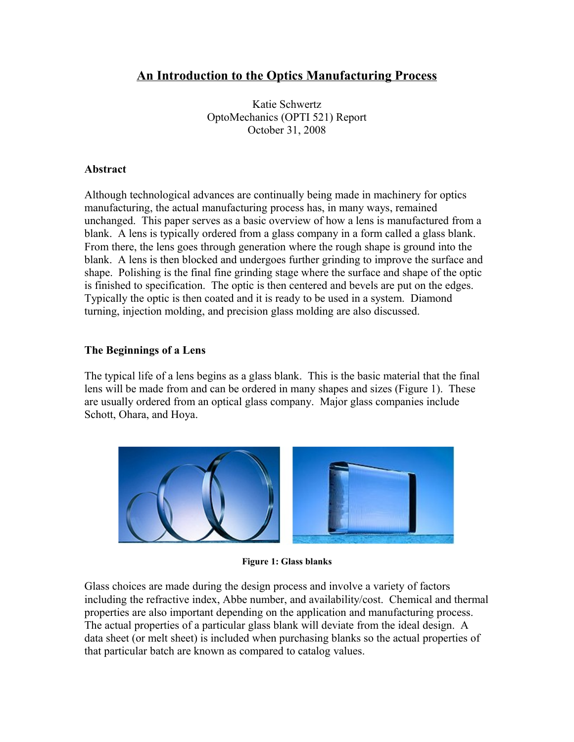# **An Introduction to the Optics Manufacturing Process**

Katie Schwertz OptoMechanics (OPTI 521) Report October 31, 2008

#### **Abstract**

Although technological advances are continually being made in machinery for optics manufacturing, the actual manufacturing process has, in many ways, remained unchanged. This paper serves as a basic overview of how a lens is manufactured from a blank. A lens is typically ordered from a glass company in a form called a glass blank. From there, the lens goes through generation where the rough shape is ground into the blank. A lens is then blocked and undergoes further grinding to improve the surface and shape. Polishing is the final fine grinding stage where the surface and shape of the optic is finished to specification. The optic is then centered and bevels are put on the edges. Typically the optic is then coated and it is ready to be used in a system. Diamond turning, injection molding, and precision glass molding are also discussed.

# **The Beginnings of a Lens**

The typical life of a lens begins as a glass blank. This is the basic material that the final lens will be made from and can be ordered in many shapes and sizes [\(Figure 1\)](#page-0-0). These are usually ordered from an optical glass company. Major glass companies include Schott, Ohara, and Hoya.



**Figure 1: Glass blanks**

<span id="page-0-0"></span>Glass choices are made during the design process and involve a variety of factors including the refractive index, Abbe number, and availability/cost. Chemical and thermal properties are also important depending on the application and manufacturing process. The actual properties of a particular glass blank will deviate from the ideal design. A data sheet (or melt sheet) is included when purchasing blanks so the actual properties of that particular batch are known as compared to catalog values.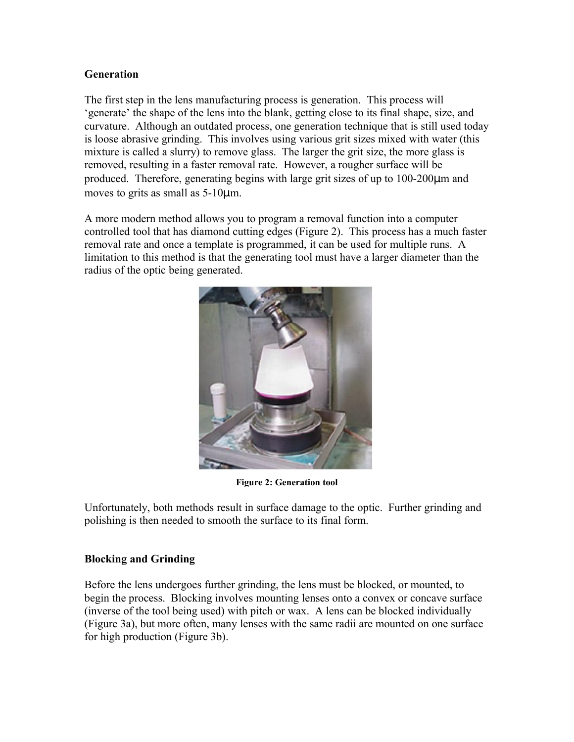#### **Generation**

The first step in the lens manufacturing process is generation. This process will 'generate' the shape of the lens into the blank, getting close to its final shape, size, and curvature. Although an outdated process, one generation technique that is still used today is loose abrasive grinding. This involves using various grit sizes mixed with water (this mixture is called a slurry) to remove glass. The larger the grit size, the more glass is removed, resulting in a faster removal rate. However, a rougher surface will be produced. Therefore, generating begins with large grit sizes of up to 100-200µm and moves to grits as small as 5-10µm.

A more modern method allows you to program a removal function into a computer controlled tool that has diamond cutting edges [\(Figure 2\)](#page-1-0). This process has a much faster removal rate and once a template is programmed, it can be used for multiple runs. A limitation to this method is that the generating tool must have a larger diameter than the radius of the optic being generated.



**Figure 2: Generation tool**

<span id="page-1-0"></span>Unfortunately, both methods result in surface damage to the optic. Further grinding and polishing is then needed to smooth the surface to its final form.

# **Blocking and Grinding**

Before the lens undergoes further grinding, the lens must be blocked, or mounted, to begin the process. Blocking involves mounting lenses onto a convex or concave surface (inverse of the tool being used) with pitch or wax. A lens can be blocked individually (Figure 3a), but more often, many lenses with the same radii are mounted on one surface for high production (Figure 3b).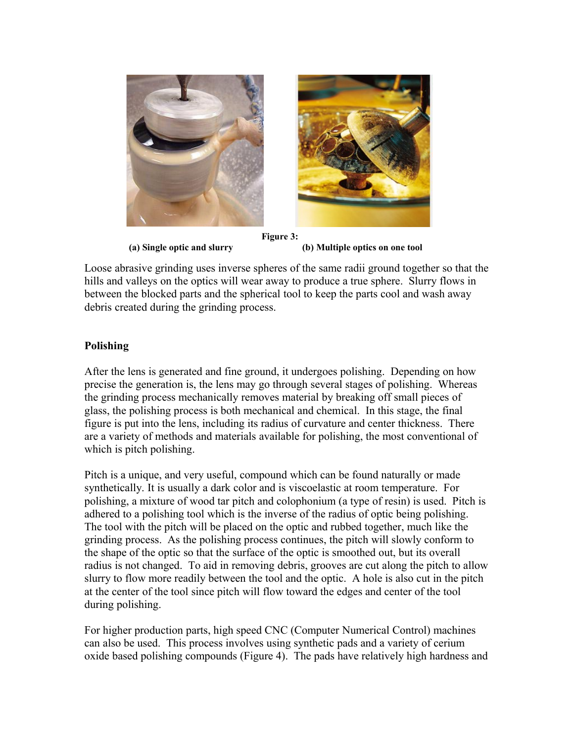

 **(a) Single optic and slurry (b) Multiple optics on one tool**

Loose abrasive grinding uses inverse spheres of the same radii ground together so that the hills and valleys on the optics will wear away to produce a true sphere. Slurry flows in between the blocked parts and the spherical tool to keep the parts cool and wash away debris created during the grinding process.

# **Polishing**

After the lens is generated and fine ground, it undergoes polishing. Depending on how precise the generation is, the lens may go through several stages of polishing. Whereas the grinding process mechanically removes material by breaking off small pieces of glass, the polishing process is both mechanical and chemical. In this stage, the final figure is put into the lens, including its radius of curvature and center thickness. There are a variety of methods and materials available for polishing, the most conventional of which is pitch polishing.

Pitch is a unique, and very useful, compound which can be found naturally or made synthetically. It is usually a dark color and is viscoelastic at room temperature. For polishing, a mixture of wood tar pitch and colophonium (a type of resin) is used. Pitch is adhered to a polishing tool which is the inverse of the radius of optic being polishing. The tool with the pitch will be placed on the optic and rubbed together, much like the grinding process. As the polishing process continues, the pitch will slowly conform to the shape of the optic so that the surface of the optic is smoothed out, but its overall radius is not changed. To aid in removing debris, grooves are cut along the pitch to allow slurry to flow more readily between the tool and the optic. A hole is also cut in the pitch at the center of the tool since pitch will flow toward the edges and center of the tool during polishing.

For higher production parts, high speed CNC (Computer Numerical Control) machines can also be used. This process involves using synthetic pads and a variety of cerium oxide based polishing compounds [\(Figure 4\)](#page-3-0). The pads have relatively high hardness and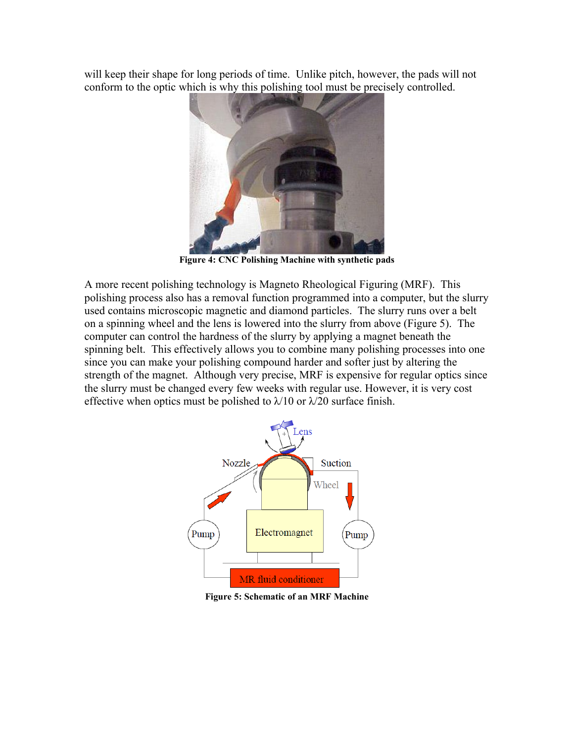will keep their shape for long periods of time. Unlike pitch, however, the pads will not conform to the optic which is why this polishing tool must be precisely controlled.



**Figure 4: CNC Polishing Machine with synthetic pads**

<span id="page-3-0"></span>A more recent polishing technology is Magneto Rheological Figuring (MRF). This polishing process also has a removal function programmed into a computer, but the slurry used contains microscopic magnetic and diamond particles. The slurry runs over a belt on a spinning wheel and the lens is lowered into the slurry from above [\(Figure 5\)](#page-3-1). The computer can control the hardness of the slurry by applying a magnet beneath the spinning belt. This effectively allows you to combine many polishing processes into one since you can make your polishing compound harder and softer just by altering the strength of the magnet. Although very precise, MRF is expensive for regular optics since the slurry must be changed every few weeks with regular use. However, it is very cost effective when optics must be polished to  $\lambda/10$  or  $\lambda/20$  surface finish.



<span id="page-3-1"></span>**Figure 5: Schematic of an MRF Machine**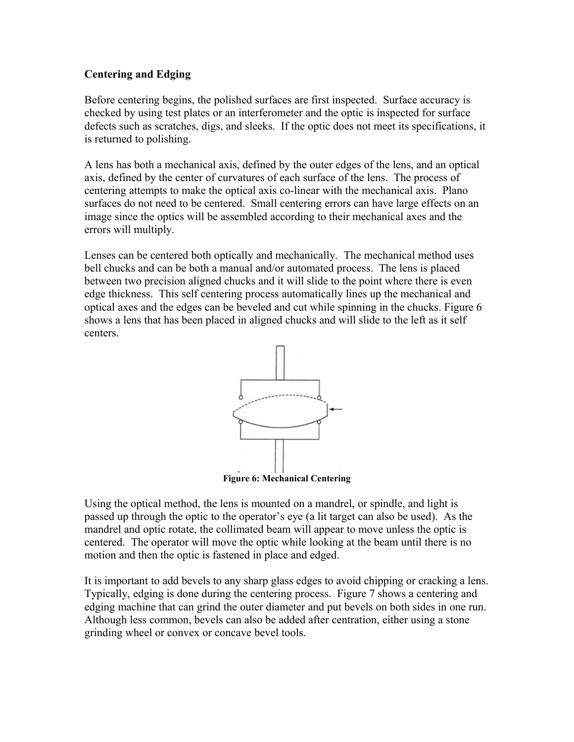# **Centering and Edging**

Before centering begins, the polished surfaces are first inspected. Surface accuracy is checked by using test plates or an interferometer and the optic is inspected for surface defects such as scratches, digs, and sleeks. If the optic does not meet its specifications, it is returned to polishing.

A lens has both a mechanical axis, defined by the outer edges of the lens, and an optical axis, defined by the center of curvatures of each surface of the lens. The process of centering attempts to make the optical axis co-linear with the mechanical axis. Plano surfaces do not need to be centered. Small centering errors can have large effects on an image since the optics will be assembled according to their mechanical axes and the errors will multiply.

Lenses can be centered both optically and mechanically. The mechanical method uses bell chucks and can be both a manual and/or automated process. The lens is placed between two precision aligned chucks and it will slide to the point where there is even edge thickness. This self centering process automatically lines up the mechanical and optical axes and the edges can be beveled and cut while spinning in the chucks. [Figure 6](#page-4-0) shows a lens that has been placed in aligned chucks and will slide to the left as it self centers.



<span id="page-4-0"></span>**Figure 6: Mechanical Centering**

Using the optical method, the lens is mounted on a mandrel, or spindle, and light is passed up through the optic to the operator's eye (a lit target can also be used). As the mandrel and optic rotate, the collimated beam will appear to move unless the optic is centered. The operator will move the optic while looking at the beam until there is no motion and then the optic is fastened in place and edged.

It is important to add bevels to any sharp glass edges to avoid chipping or cracking a lens. Typically, edging is done during the centering process. [Figure 7](#page-5-0) shows a centering and edging machine that can grind the outer diameter and put bevels on both sides in one run. Although less common, bevels can also be added after centration, either using a stone grinding wheel or convex or concave bevel tools.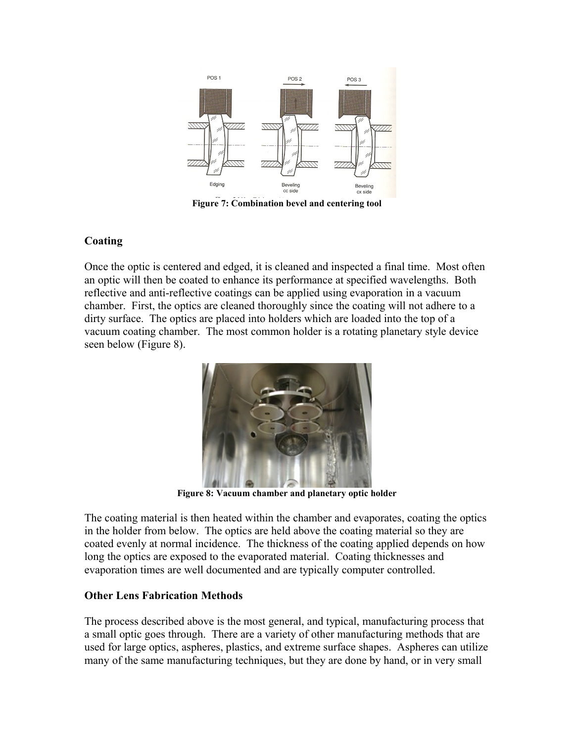

<span id="page-5-0"></span>**Figure 7: Combination bevel and centering tool**

# **Coating**

Once the optic is centered and edged, it is cleaned and inspected a final time. Most often an optic will then be coated to enhance its performance at specified wavelengths. Both reflective and anti-reflective coatings can be applied using evaporation in a vacuum chamber. First, the optics are cleaned thoroughly since the coating will not adhere to a dirty surface. The optics are placed into holders which are loaded into the top of a vacuum coating chamber. The most common holder is a rotating planetary style device seen below [\(Figure 8\)](#page-5-1).



**Figure 8: Vacuum chamber and planetary optic holder**

<span id="page-5-1"></span>The coating material is then heated within the chamber and evaporates, coating the optics in the holder from below. The optics are held above the coating material so they are coated evenly at normal incidence. The thickness of the coating applied depends on how long the optics are exposed to the evaporated material. Coating thicknesses and evaporation times are well documented and are typically computer controlled.

# **Other Lens Fabrication Methods**

The process described above is the most general, and typical, manufacturing process that a small optic goes through. There are a variety of other manufacturing methods that are used for large optics, aspheres, plastics, and extreme surface shapes. Aspheres can utilize many of the same manufacturing techniques, but they are done by hand, or in very small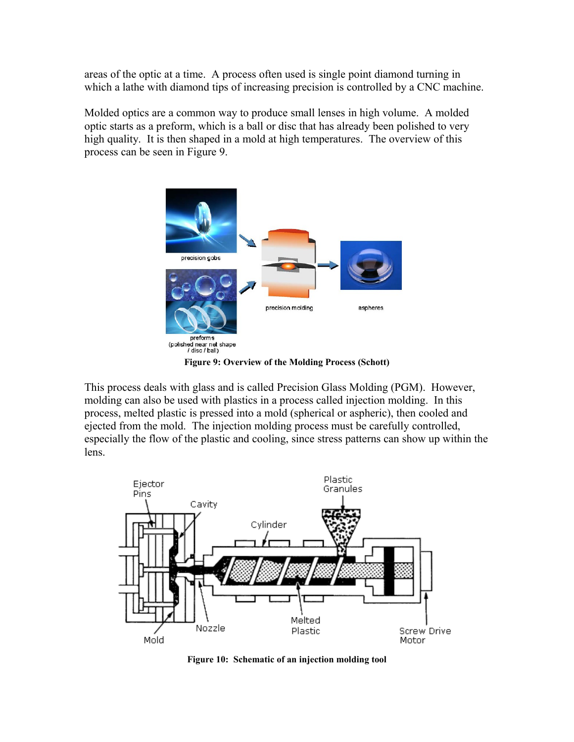areas of the optic at a time. A process often used is single point diamond turning in which a lathe with diamond tips of increasing precision is controlled by a CNC machine.

Molded optics are a common way to produce small lenses in high volume. A molded optic starts as a preform, which is a ball or disc that has already been polished to very high quality. It is then shaped in a mold at high temperatures. The overview of this process can be seen in [Figure 9.](#page-6-0)



**Figure 9: Overview of the Molding Process (Schott)**

<span id="page-6-0"></span>This process deals with glass and is called Precision Glass Molding (PGM). However, molding can also be used with plastics in a process called injection molding. In this process, melted plastic is pressed into a mold (spherical or aspheric), then cooled and ejected from the mold. The injection molding process must be carefully controlled, especially the flow of the plastic and cooling, since stress patterns can show up within the lens.



**Figure 10: Schematic of an injection molding tool**